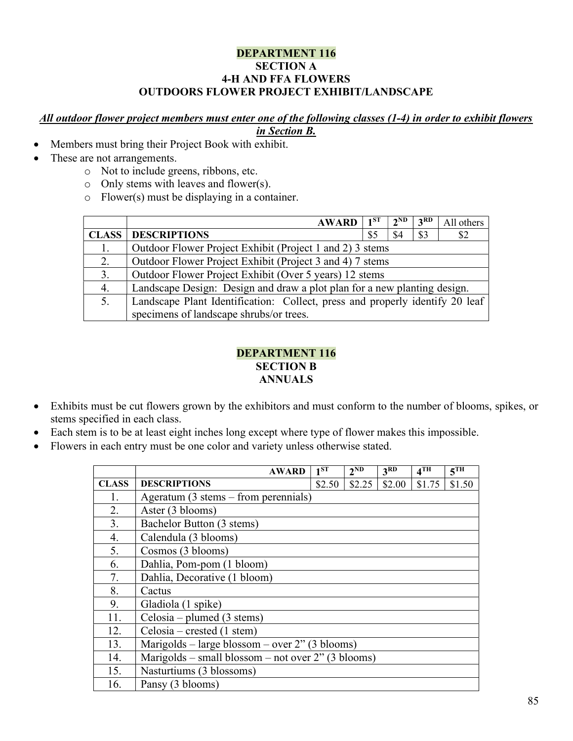#### DEPARTMENT 116 SECTION A 4-H AND FFA FLOWERS OUTDOORS FLOWER PROJECT EXHIBIT/LANDSCAPE

# All outdoor flower project members must enter one of the following classes (1-4) in order to exhibit flowers

# in Section B.

- Members must bring their Project Book with exhibit.
- These are not arrangements.
	- o Not to include greens, ribbons, etc.
	- o Only stems with leaves and flower(s).
	- o Flower(s) must be displaying in a container.

|              | <b>AWARD</b>                                                                 | $1^{ST}$ | $2^{ND}$ | 3 <sup>RD</sup> | All others |  |  |  |  |
|--------------|------------------------------------------------------------------------------|----------|----------|-----------------|------------|--|--|--|--|
| <b>CLASS</b> | <b>DESCRIPTIONS</b>                                                          | \$5      | \$4      | \$3             | \$2        |  |  |  |  |
| 1.           | Outdoor Flower Project Exhibit (Project 1 and 2) 3 stems                     |          |          |                 |            |  |  |  |  |
| 2.           | Outdoor Flower Project Exhibit (Project 3 and 4) 7 stems                     |          |          |                 |            |  |  |  |  |
| 3.           | Outdoor Flower Project Exhibit (Over 5 years) 12 stems                       |          |          |                 |            |  |  |  |  |
| 4.           | Landscape Design: Design and draw a plot plan for a new planting design.     |          |          |                 |            |  |  |  |  |
| 5.           | Landscape Plant Identification: Collect, press and properly identify 20 leaf |          |          |                 |            |  |  |  |  |
|              | specimens of landscape shrubs/or trees.                                      |          |          |                 |            |  |  |  |  |

# DEPARTMENT 116 SECTION B ANNUALS

- Exhibits must be cut flowers grown by the exhibitors and must conform to the number of blooms, spikes, or stems specified in each class.
- Each stem is to be at least eight inches long except where type of flower makes this impossible.
- Flowers in each entry must be one color and variety unless otherwise stated.

|              | <b>AWARD</b>                                                  | $1^{\overline{\text{ST}}}$ | $2^{ND}$ | 3 <sup>RD</sup> | 4 <sup>TH</sup> | 5 <sup>TH</sup> |  |  |  |
|--------------|---------------------------------------------------------------|----------------------------|----------|-----------------|-----------------|-----------------|--|--|--|
| <b>CLASS</b> | <b>DESCRIPTIONS</b>                                           | \$2.50                     | \$2.25   | \$2.00          | \$1.75          | \$1.50          |  |  |  |
| 1.           | Ageratum $(3 \text{ stems} - \text{from } \text{perennials})$ |                            |          |                 |                 |                 |  |  |  |
| 2.           | Aster (3 blooms)                                              |                            |          |                 |                 |                 |  |  |  |
| 3.           | Bachelor Button (3 stems)                                     |                            |          |                 |                 |                 |  |  |  |
| 4.           | Calendula (3 blooms)                                          |                            |          |                 |                 |                 |  |  |  |
| 5.           | Cosmos (3 blooms)                                             |                            |          |                 |                 |                 |  |  |  |
| 6.           | Dahlia, Pom-pom (1 bloom)                                     |                            |          |                 |                 |                 |  |  |  |
| 7.           | Dahlia, Decorative (1 bloom)                                  |                            |          |                 |                 |                 |  |  |  |
| 8.           | Cactus                                                        |                            |          |                 |                 |                 |  |  |  |
| 9.           | Gladiola (1 spike)                                            |                            |          |                 |                 |                 |  |  |  |
| 11.          | Celosia – plumed $(3 \text{ stems})$                          |                            |          |                 |                 |                 |  |  |  |
| 12.          | Celosia – crested $(1 \text{ stem})$                          |                            |          |                 |                 |                 |  |  |  |
| 13.          | Marigolds – large blossom – over $2$ " (3 blooms)             |                            |          |                 |                 |                 |  |  |  |
| 14.          | Marigolds – small blossom – not over $2$ " (3 blooms)         |                            |          |                 |                 |                 |  |  |  |
| 15.          | Nasturtiums (3 blossoms)                                      |                            |          |                 |                 |                 |  |  |  |
| 16.          | Pansy (3 blooms)                                              |                            |          |                 |                 |                 |  |  |  |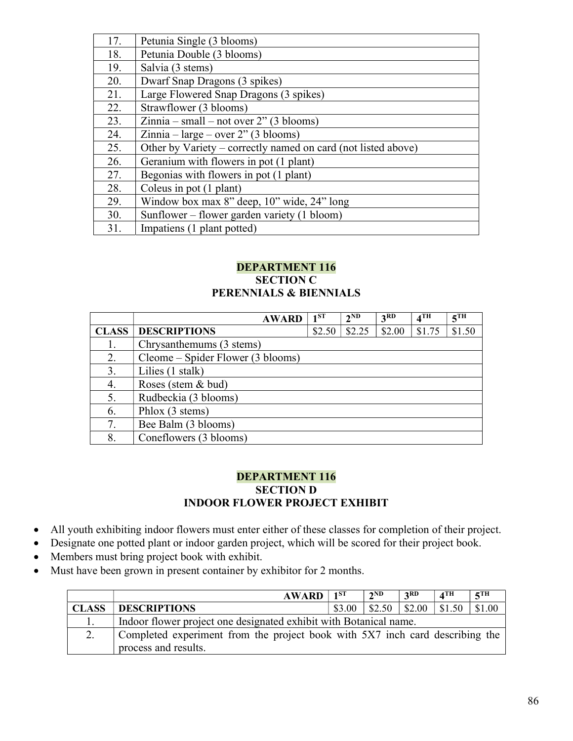| 17. | Petunia Single (3 blooms)                                     |
|-----|---------------------------------------------------------------|
| 18. | Petunia Double (3 blooms)                                     |
| 19. | Salvia (3 stems)                                              |
| 20. | Dwarf Snap Dragons (3 spikes)                                 |
| 21. | Large Flowered Snap Dragons (3 spikes)                        |
| 22. | Strawflower (3 blooms)                                        |
| 23. | $Zinnia - small - not over 2" (3 blooms)$                     |
| 24. | $Zinnia - large - over 2" (3 blooms)$                         |
| 25. | Other by Variety – correctly named on card (not listed above) |
| 26. | Geranium with flowers in pot (1 plant)                        |
| 27. | Begonias with flowers in pot (1 plant)                        |
| 28. | Coleus in pot (1 plant)                                       |
| 29. | Window box max 8" deep, 10" wide, 24" long                    |
| 30. | Sunflower - flower garden variety (1 bloom)                   |
| 31. | Impatiens (1 plant potted)                                    |

#### DEPARTMENT 116 SECTION C PERENNIALS & BIENNIALS

|              | <b>AWARD</b>                      | 1 <sub>1</sub> ST | $2^{ND}$ | 3 <sup>RD</sup> | 4 <sup>TH</sup> | 5 <sup>TH</sup> |
|--------------|-----------------------------------|-------------------|----------|-----------------|-----------------|-----------------|
| <b>CLASS</b> | <b>DESCRIPTIONS</b>               | \$2.50            | \$2.25   | \$2.00          | \$1.75          | \$1.50          |
| 1.           | Chrysanthemums (3 stems)          |                   |          |                 |                 |                 |
| 2.           | Cleome – Spider Flower (3 blooms) |                   |          |                 |                 |                 |
| 3.           | Lilies (1 stalk)                  |                   |          |                 |                 |                 |
| 4.           | Roses (stem & bud)                |                   |          |                 |                 |                 |
| 5.           | Rudbeckia (3 blooms)              |                   |          |                 |                 |                 |
| 6.           | Phlox (3 stems)                   |                   |          |                 |                 |                 |
| 7.           | Bee Balm (3 blooms)               |                   |          |                 |                 |                 |
| 8.           | Coneflowers (3 blooms)            |                   |          |                 |                 |                 |

## DEPARTMENT 116 SECTION D INDOOR FLOWER PROJECT EXHIBIT

- All youth exhibiting indoor flowers must enter either of these classes for completion of their project.
- Designate one potted plant or indoor garden project, which will be scored for their project book.
- Members must bring project book with exhibit.
- Must have been grown in present container by exhibitor for 2 months.

|              | <b>AWARD</b>                                                                 | 1ST | 2ND                                         | 2RD | $\boldsymbol{A}$ TH | $\epsilon$ TH |  |  |
|--------------|------------------------------------------------------------------------------|-----|---------------------------------------------|-----|---------------------|---------------|--|--|
| <b>CLASS</b> | <b>DESCRIPTIONS</b>                                                          |     | $$3.00 \; \; $2.50 \; \; $2.00 \; \; $1.50$ |     |                     | \$1.00        |  |  |
| . .          | Indoor flower project one designated exhibit with Botanical name.            |     |                                             |     |                     |               |  |  |
| ٠.           | Completed experiment from the project book with 5X7 inch card describing the |     |                                             |     |                     |               |  |  |
|              | process and results.                                                         |     |                                             |     |                     |               |  |  |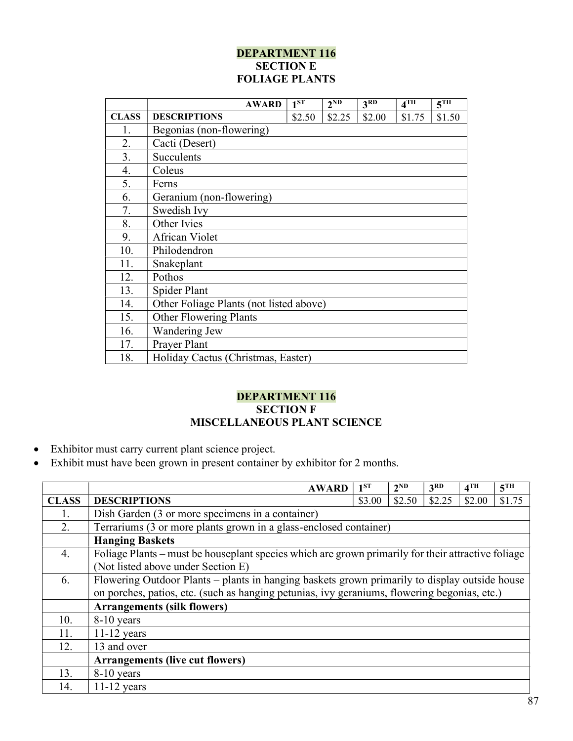# DEPARTMENT 116 **SECTION E** FOLIAGE PLANTS

|              | <b>AWARD</b>                            | 1 <sub>ST</sub> | 2 <sub>ND</sub> | 3 <sup>RD</sup> | $4$ TH | 5 <sup>TH</sup> |
|--------------|-----------------------------------------|-----------------|-----------------|-----------------|--------|-----------------|
| <b>CLASS</b> | <b>DESCRIPTIONS</b>                     | \$2.50          | \$2.25          | \$2.00          | \$1.75 | \$1.50          |
| 1.           | Begonias (non-flowering)                |                 |                 |                 |        |                 |
| 2.           | Cacti (Desert)                          |                 |                 |                 |        |                 |
| 3.           | Succulents                              |                 |                 |                 |        |                 |
| 4.           | Coleus                                  |                 |                 |                 |        |                 |
| 5.           | Ferns                                   |                 |                 |                 |        |                 |
| 6.           | Geranium (non-flowering)                |                 |                 |                 |        |                 |
| 7.           | Swedish Ivy                             |                 |                 |                 |        |                 |
| 8.           | Other Ivies                             |                 |                 |                 |        |                 |
| 9.           | African Violet                          |                 |                 |                 |        |                 |
| 10.          | Philodendron                            |                 |                 |                 |        |                 |
| 11.          | Snakeplant                              |                 |                 |                 |        |                 |
| 12.          | Pothos                                  |                 |                 |                 |        |                 |
| 13.          | Spider Plant                            |                 |                 |                 |        |                 |
| 14.          | Other Foliage Plants (not listed above) |                 |                 |                 |        |                 |
| 15.          | <b>Other Flowering Plants</b>           |                 |                 |                 |        |                 |
| 16.          | Wandering Jew                           |                 |                 |                 |        |                 |
| 17.          | Prayer Plant                            |                 |                 |                 |        |                 |
| 18.          | Holiday Cactus (Christmas, Easter)      |                 |                 |                 |        |                 |

## DEPARTMENT 116 SECTION F MISCELLANEOUS PLANT SCIENCE

- Exhibitor must carry current plant science project.
- Exhibit must have been grown in present container by exhibitor for 2 months.

|              | <b>AWARD</b>                                                                                       | 1 <sup>ST</sup> | 2 <sup>ND</sup> | 3 <sup>RD</sup> | 4 <sup>TH</sup> | 5 <sup>TH</sup> |  |
|--------------|----------------------------------------------------------------------------------------------------|-----------------|-----------------|-----------------|-----------------|-----------------|--|
| <b>CLASS</b> | <b>DESCRIPTIONS</b>                                                                                | \$3.00          | \$2.50          | \$2.25          | \$2.00          | \$1.75          |  |
|              | Dish Garden (3 or more specimens in a container)                                                   |                 |                 |                 |                 |                 |  |
| 2.           | Terrariums (3 or more plants grown in a glass-enclosed container)                                  |                 |                 |                 |                 |                 |  |
|              | <b>Hanging Baskets</b>                                                                             |                 |                 |                 |                 |                 |  |
| 4.           | Foliage Plants – must be houseplant species which are grown primarily for their attractive foliage |                 |                 |                 |                 |                 |  |
|              | (Not listed above under Section E)                                                                 |                 |                 |                 |                 |                 |  |
| 6.           | Flowering Outdoor Plants - plants in hanging baskets grown primarily to display outside house      |                 |                 |                 |                 |                 |  |
|              | on porches, patios, etc. (such as hanging petunias, ivy geraniums, flowering begonias, etc.)       |                 |                 |                 |                 |                 |  |
|              | <b>Arrangements (silk flowers)</b>                                                                 |                 |                 |                 |                 |                 |  |
| 10.          | 8-10 years                                                                                         |                 |                 |                 |                 |                 |  |
| 11.          | $11-12$ years                                                                                      |                 |                 |                 |                 |                 |  |
| 12.          | 13 and over                                                                                        |                 |                 |                 |                 |                 |  |
|              | <b>Arrangements (live cut flowers)</b>                                                             |                 |                 |                 |                 |                 |  |
| 13.          | 8-10 years                                                                                         |                 |                 |                 |                 |                 |  |
| 14.          | $11-12$ years                                                                                      |                 |                 |                 |                 |                 |  |